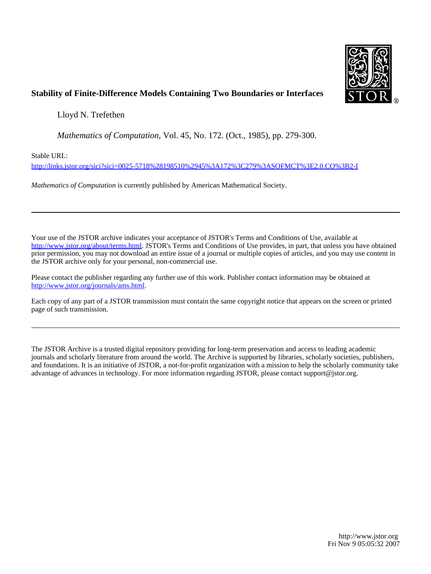

#### **Stability of Finite-Difference Models Containing Two Boundaries or Interfaces**

Lloyd N. Trefethen

*Mathematics of Computation*, Vol. 45, No. 172. (Oct., 1985), pp. 279-300.

Stable URL:

<http://links.jstor.org/sici?sici=0025-5718%28198510%2945%3A172%3C279%3ASOFMCT%3E2.0.CO%3B2-I>

*Mathematics of Computation* is currently published by American Mathematical Society.

Your use of the JSTOR archive indicates your acceptance of JSTOR's Terms and Conditions of Use, available at [http://www.jstor.org/about/terms.html.](http://www.jstor.org/about/terms.html) JSTOR's Terms and Conditions of Use provides, in part, that unless you have obtained prior permission, you may not download an entire issue of a journal or multiple copies of articles, and you may use content in the JSTOR archive only for your personal, non-commercial use.

Please contact the publisher regarding any further use of this work. Publisher contact information may be obtained at [http://www.jstor.org/journals/ams.html.](http://www.jstor.org/journals/ams.html)

Each copy of any part of a JSTOR transmission must contain the same copyright notice that appears on the screen or printed page of such transmission.

The JSTOR Archive is a trusted digital repository providing for long-term preservation and access to leading academic journals and scholarly literature from around the world. The Archive is supported by libraries, scholarly societies, publishers, and foundations. It is an initiative of JSTOR, a not-for-profit organization with a mission to help the scholarly community take advantage of advances in technology. For more information regarding JSTOR, please contact support@jstor.org.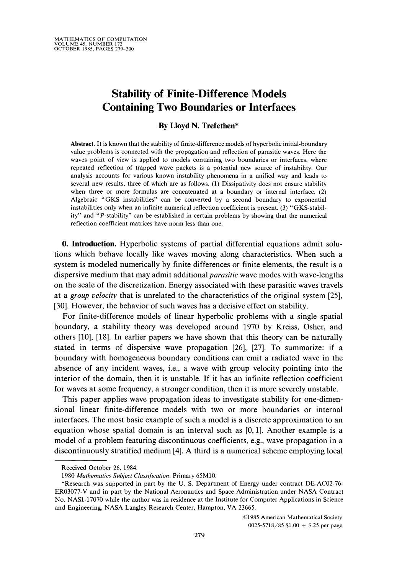## **Stability of Finite-Difference Models Containing Two Boundaries or Interfaces**

#### **By Lloyd N. Trefethen\***

Abstract. It is known that the stability of finite-difference models of hyperbolic initial-boundary value problems is connected with the propagation and reflection of parasitic waves. Here the waves point of view is applied to models containing two boundaries or interfaces, where repeated reflection of trapped wave packets is a potential new source of instability. Our analysis accounts for various known instability phenomena in a unified way and leads to several new results, three of which are as follows. (1) Dissipativity does not ensure stability when three or more formulas are concatenated at a boundary or internal interface. (2) Algebraic "GKS instabilities" can be converted by a second boundary to exponential instabilities only when an infinite numerical reflection coefficient is present. (3) "GKS-stability" and "P-stability" can be established in certain problems by showing that the numerical reflection coefficient matrices have norm less than one.

**0. Introduction.** Hyperbolic systems of partial differential equations admit solutions which behave locally like waves moving along characteristics. When such a system is modeled numerically by finite differences or finite elements, the result is a dispersive medium that may admit additional *parasitic* wave modes with wave-lengths on the scale of the discretization. Energy associated with these parasitic waves travels at a *group velocity* that is unrelated to the characteristics of the original system [25], [30]. However, the behavior of such waves has a decisive effect on stability.

For finite-difference models of linear hyperbolic problems with a single spatial boundary, a stability theory was developed around 1970 by Kreiss, Osher, and others [lo], [18]. In earlier papers we have shown that this theory can be naturally stated in terms of dispersive wave propagation [26], [27]. To summarize: if a boundary with homogeneous boundary conditions can emit a radiated wave in the absence of any incident waves, i.e., a wave with group velocity pointing into the interior of the domain, then it is unstable. If it has an infinite reflection coefficient for waves at some frequency, a stronger condition, then it is more severely unstable.

This paper applies wave propagation ideas to investigate stability for one-dimensional linear finite-difference models with two or more boundaries or internal interfaces. The most basic example of such a model is a discrete approximation to an equation whose spatial domain is an interval such as  $[0,1]$ . Another example is a model of a problem featuring discontinuous coefficients, e.g., wave propagation in a discontinuously stratified medium [4]. A third is a numerical scheme employing local

Received October 26, 1984.

<sup>1980</sup> *Mathematics Subject Classification.* Primary 65M10.

<sup>\*</sup>Research was supported in part by the U. S. Department of Energy under contract DE-AC02-76- ER03077-V and in part by the National Aeronautics and Space Administration under NASA Contract No. NAS1-17070 while the author was in residence at the Institute for Computer Applications in Science and Engineering, NASA Langley Research Center, Hampton, VA 23665.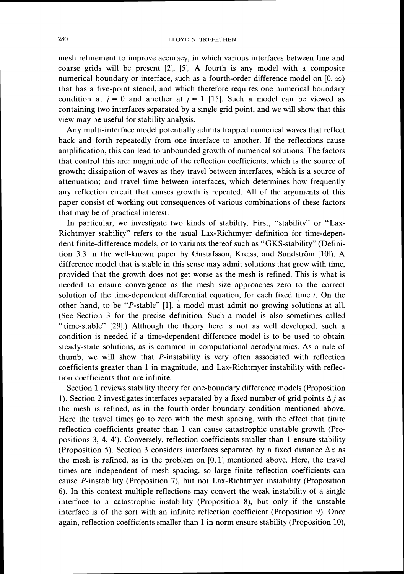mesh refinement to improve accuracy, in which various interfaces between fine and coarse grids will be present [2], [5]. A fourth is any model with a composite numerical boundary or interface, such as a fourth-order difference model on  $[0, \infty)$ that has a five-point stencil, and which therefore requires one numerical boundary condition at  $j = 0$  and another at  $j = 1$  [15]. Such a model can be viewed as containing two interfaces separated by a single grid point, and we will show that this view may be useful for stability analysis.

Any multi-interface model potentially admits trapped numerical waves that reflect back and forth repeatedly from one interface to another. If the reflections cause amplification, this can lead to unbounded growth of numerical solutions. The factors that control this are: magnitude of the reflection coefficients, which is the source of growth; dissipation of waves as they travel between interfaces, which is a source of attenuation; and travel time between interfaces, whch determines how frequently any reflection circuit that causes growth is repeated. All of the arguments of this paper consist of working out consequences of various combinations of these factors that may be of practical interest.

In particular, we investigate two kinds of stability. First, "stability" or "Lax-Richtmyer stability" refers to the usual Lax-Richtmyer definition for time-dependent finite-difference models, or to variants thereof such as "GKS-stability" (Definition 3.3 in the well-known paper by Gustafsson, Kreiss, and Sundström [10]). A difference model that is stable in this sense may admit solutions that grow with time, provided that the growth does not get worse as the mesh is refined. This is what is needed to ensure convergence as the mesh size approaches zero to the correct solution of the time-dependent differential equation, for each fixed time *t.* On the other hand, to be "P-stable" [I], a model must admit no growing solutions at all. (See Section 3 for the precise definition. Such a model is also sometimes called "time-stable" [29].) Although the theory here is not as well developed, such a condition is needed if a time-dependent difference model is to be used to obtain steady-state solutions, as is common in computational aerodynamics. As a rule of thumb, we will show that P-instability is very often associated with reflection coefficients greater than 1 in magnitude, and Lax-Richtmyer instability with reflection coefficients that are infinite.

Section 1 reviews stability theory for one-boundary difference models (Proposition 1). Section 2 investigates interfaces separated by a fixed number of grid points  $\Delta j$  as the mesh is refined, as in the fourth-order boundary condition mentioned above. Here the travel times go to zero with the mesh spacing, with the effect that finite reflection coefficients greater than 1 can cause catastrophic unstable growth (Propositions  $3, 4, 4'$ ). Conversely, reflection coefficients smaller than 1 ensure stability (Proposition 5). Section 3 considers interfaces separated by a fixed distance  $\Delta x$  as the mesh is refined, as in the problem on  $[0,1]$  mentioned above. Here, the travel times are independent of mesh spacing, so large finite reflection coefficients can cause P-instability (Proposition 7), but not Lax-Richtmyer instability (Proposition 6). In this context multiple reflections may convert the weak instability of a single interface to a catastrophic instability (Proposition 8), but only if the unstable interface is of the sort with an infinite reflection coefficient (Proposition 9). Once again, reflection coefficients smaller than 1in norm ensure stability (Proposition lo),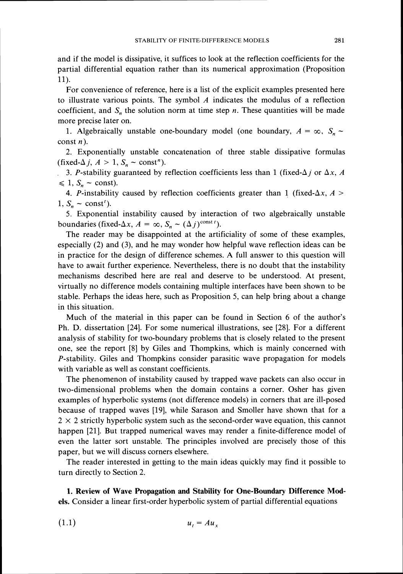and if the model is dissipative, it suffices to look at the reflection coefficients for the partial differential equation rather than its numerical approximation (Proposition 11).

For convenience of reference, here is a list of the explicit examples presented here to illustrate various points. The symbol  $A$  indicates the modulus of a reflection coefficient, and  $S_n$  the solution norm at time step n. These quantities will be made more precise later on.

1. Algebraically unstable one-boundary model (one boundary,  $A = \infty$ ,  $S_n \sim$ const  $n$ ).

2. Exponentially unstable concatenation of three stable dissipative formulas (fixed- $\Delta j$ ,  $A > 1$ ,  $S_n \sim \text{const}^n$ ).

3. P-stability guaranteed by reflection coefficients less than 1 (fixed- $\Delta j$  or  $\Delta x$ , A  $\leq 1$ ,  $S_n \sim$  const).

4. P-instability caused by reflection coefficients greater than 1 (fixed- $\Delta x$ ,  $A >$  $1, S_n \sim \text{const}^t$ .

*5.* Exponential instability caused by interaction of two algebraically unstable boundaries (fixed- $\Delta x$ ,  $A = \infty$ ,  $S_n \sim (\Delta j)^{\text{const}}$ ').

The reader may be disappointed at the artificiality of some of these examples, especially (2) and (3), and he may wonder how helpful wave reflection ideas can be in practice for the design of difference schemes. **A** full answer to this question will have to await further experience. Nevertheless, there is no doubt that the instability mechanisms described here are real and deserve to be understood. At present, virtually no difference models containing multiple interfaces have been shown to be stable. Perhaps the ideas here, such as Proposition *5,* can help bring about a change in this situation.

Much of the material in this paper can be found in Section 6 of the author's Ph. D. dissertation [24]. For some numerical illustrations, see [28]. For a different analysis of stability for two-boundary problems that is closely related to the present one, see the report [8] by Giles and Thompkins, which is mainly concerned with  $P$ -stability. Giles and Thompkins consider parasitic wave propagation for models with variable as well as constant coefficients.

The phenomenon of instability caused by trapped wave packets can also occur in two-dimensional problems when the domain contains a corner. Osher has given examples of hyperbolic systems (not difference models) in corners that are ill-posed because of trapped waves [19], while Sarason and Smoller have shown that for a  $2 \times 2$  strictly hyperbolic system such as the second-order wave equation, this cannot happen [21]. But trapped numerical waves may render a finite-difference model of even the latter sort unstable. The principles involved are precisely those of this paper, but we will discuss corners elsewhere.

The reader interested in getting to the main ideas quickly may find it possible to turn directly to Section 2.

**1. Review of Wave Propagation and Stability for One-Boundary Difference Models.** Consider a linear first-order hyperbolic system of partial differential equations

$$
(1.1) \t\t u_t = Au_x
$$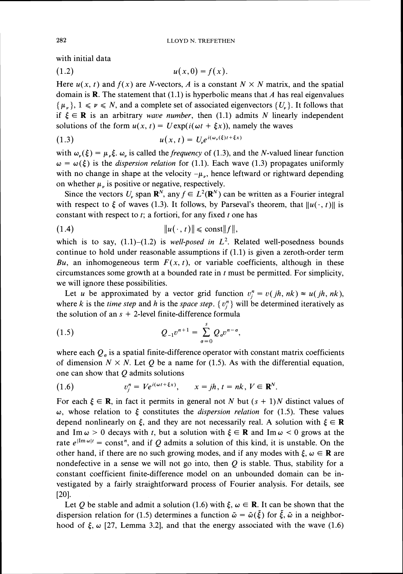with initial data

$$
(1.2) \qquad \qquad u(x,0) = f(x)
$$

Here  $u(x, t)$  and  $f(x)$  are N-vectors, A is a constant  $N \times N$  matrix, and the spatial domain is **R**. The statement that  $(1.1)$  is hyperbolic means that A has real eigenvalues  $\{\mu_n\}, 1 \leqslant \nu \leqslant N$ , and a complete set of associated eigenvectors  $\{U_n\}$ . It follows that if  $\xi \in \mathbb{R}$  is an arbitrary *wave number*, then (1.1) admits N linearly independent solutions of the form  $u(x, t) = U \exp(i(\omega t + \xi x))$ , namely the waves

$$
(1.3) \t u(x, t) = Un e^{i(\omega_r(\xi)t + \xi x)}
$$

with  $\omega_{\nu}(\xi) = \mu_{\nu}\xi$ .  $\omega_{\nu}$  is called the *frequency* of (1.3), and the *N*-valued linear function  $\omega = \omega(\xi)$  is the *dispersion relation* for (1.1). Each wave (1.3) propagates uniformly with no change in shape at the velocity  $-\mu_{n}$ , hence leftward or rightward depending on whether  $\mu_{\nu}$  is positive or negative, respectively.

Since the vectors  $U_{\nu}$ , span  $\mathbb{R}^{N}$ , any  $f \in L^{2}(\mathbb{R}^{N})$  can be written as a Fourier integral with respect to  $\xi$  of waves (1.3). It follows, by Parseval's theorem, that  $||u(\cdot, t)||$  is constant with respect to *t;* a fortiori, for any fixed *t* one has

$$
\|u(\cdot,t)\| \leqslant \mathrm{const} \|f\|,
$$

which is to say,  $(1.1)$ – $(1.2)$  is *well-posed in L*<sup>2</sup>. Related well-posedness bounds continue to hold under reasonable assumptions if *(1.1)* is given a zeroth-order term  $Bu$ , an inhomogeneous term  $F(x, t)$ , or variable coefficients, although in these circumstances some growth at a bounded rate in *t* must be permitted. For simplicity, we will ignore these possibilities.

Let *u* be approximated by a vector grid function  $v_i^n = v(jh, nk) \approx u(jh, nk)$ , where *k* is the *time step* and *h* is the *space step*.  $\{v_i^n\}$  will be determined iteratively as the solution of an  $s + 2$ -level finite-difference formula

(1.5) 
$$
Q_{-1}v^{n+1} = \sum_{\sigma=0}^{s} Q_{\sigma}v^{n-\sigma},
$$

where each  $Q_{\sigma}$  is a spatial finite-difference operator with constant matrix coefficients of dimension  $N \times N$ . Let Q be a name for (1.5). As with the differential equation, one can show that  $Q$  admits solutions

(1.6) 
$$
v_j^n = Ve^{i(\omega t + \xi x)}, \qquad x = jh, t = nk, V \in \mathbf{R}^N.
$$

For each  $\xi \in \mathbf{R}$ , in fact it permits in general not N but  $(s + 1)N$  distinct values of  $\omega$ , whose relation to  $\xi$  constitutes the *dispersion relation* for (1.5). These values depend nonlinearly on  $\xi$ , and they are not necessarily real. A solution with  $\xi \in \mathbb{R}$ and Im  $\omega > 0$  decays with *t*, but a solution with  $\xi \in \mathbf{R}$  and Im  $\omega < 0$  grows at the rate  $e^{\int Im \omega t}$  = const<sup>n</sup>, and if Q admits a solution of this kind, it is unstable. On the other hand, if there are no such growing modes, and if any modes with  $\xi$ ,  $\omega \in \mathbf{R}$  are nondefective in a sense we will not go into, then  $Q$  is stable. Thus, stability for a constant coefficient finite-difference model on an unbounded domain can be investigated by a fairly straightforward process of Fourier analysis. For details, see  $[20]$ .

Let Q be stable and admit a solution (1.6) with  $\xi$ ,  $\omega \in \mathbb{R}$ . It can be shown that the dispersion relation for (1.5) determines a function  $\tilde{\omega} = \tilde{\omega}(\tilde{\xi})$  for  $\tilde{\xi}$ ,  $\tilde{\omega}$  in a neighborhood of  $\xi$ ,  $\omega$  [27, Lemma 3.2], and that the energy associated with the wave (1.6)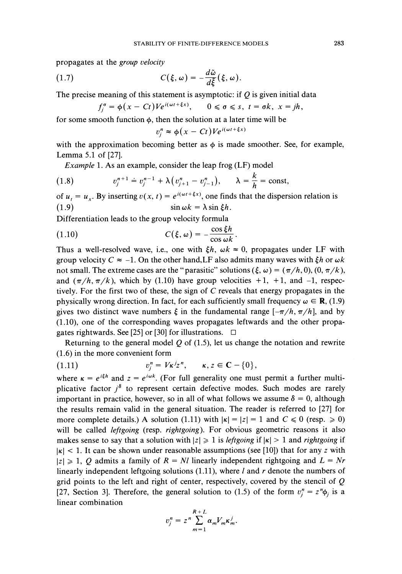propagates at the *group velocity* 

propagates at the *group velocity*  
(1.7) 
$$
C(\xi, \omega) = -\frac{d\tilde{\omega}}{d\xi}(\xi, \omega).
$$

The precise meaning of this statement is asymptotic: if Q is given initial data  

$$
f_j^{\sigma} = \phi(x - Ct)V e^{i(\omega t + \xi x)}, \qquad 0 \le \sigma \le s, t = \sigma k, x = jh,
$$

for some smooth function  $\phi$ , then the solution at a later time will be

$$
v_i^n \approx \phi(x - Ct)V e^{i(\omega t + \xi x)}
$$

with the approximation becoming better as  $\phi$  is made smoother. See, for example, Lemma *5.1* of *[27].* 

*Example 1.* As an example, consider the leap frog (LF) model

(1.8) 
$$
v_j^{n+1} = v_j^{n-1} + \lambda (v_{j+1}^n - v_{j-1}^n), \qquad \lambda = \frac{k}{h} = \text{const},
$$

of  $u_t = u_x$ . By inserting  $v(x, t) = e^{i(\omega t + \xi x)}$ , one finds that the dispersion relation is (1.9)  $\sin \omega k = \lambda \sin \xi h$ .

Differentiation leads to the group velocity formula

(1.10) 
$$
C(\xi, \omega) = -\frac{\cos \xi h}{\cos \omega k}.
$$

Thus a well-resolved wave, i.e., one with  $\xi h$ ,  $\omega k \approx 0$ , propagates under LF with group velocity  $C \approx -1$ . On the other hand, LF also admits many waves with  $\xi h$  or  $\omega k$ not small. The extreme cases are the "parasitic" solutions  $(\xi, \omega) = (\pi/h, 0), (0, \pi/k)$ , and  $(\pi/h, \pi/k)$ , which by (1.10) have group velocities  $+1$ ,  $+1$ , and  $-1$ , respectively. For the first two of these, the sign of *C* reveals that energy propagates in the physically wrong direction. In fact, for each sufficiently small frequency  $\omega \in \mathbf{R}$ , (1.9) gives two distinct wave numbers  $\xi$  in the fundamental range  $[-\pi/h, \pi/h]$ , and by *(1.10),* one of the corresponding waves propagates leftwards and the other propagates rightwards. See [25] or [30] for illustrations.  $\square$ 

Returning to the general model Q of *(1.5),* let us change the notation and rewrite *(1.6)*in the more convenient form

(1.11) 
$$
v_j^n = V\kappa^j z^n, \quad \kappa, z \in \mathbb{C} - \{0\},
$$

where  $\kappa = e^{i\xi h}$  and  $z = e^{i\omega k}$ . (For full generality one must permit a further multiplicative factor  $i^{\delta}$  to represent certain defective modes. Such modes are rarely important in practice, however, so in all of what follows we assume  $\delta = 0$ , although the results remain valid in the general situation. The reader is referred to [27] for more complete details.) A solution (1.11) with  $|\kappa| = |z| = 1$  and  $C \le 0$  (resp.  $\ge 0$ ) will be called *leftgoing* (resp. *rightgoing).* For obvious geometric reasons it also makes sense to say that a solution with  $|z| \ge 1$  is *leftgoing* if  $|\kappa| > 1$  and *rightgoing* if  $|k| < 1$ . It can be shown under reasonable assumptions (see [10]) that for any *z* with  $|z| \ge 1$ , Q admits a family of  $R = NI$  linearly independent rightgoing and  $L = Nr$ linearly independent leftgoing solutions *(1.11),*where *1* and *r* denote the numbers of grid points to the left and right of center, respectively, covered by the stencil of  $Q$ [27, Section 3]. Therefore, the general solution to (1.5) of the form  $v_i^n = z^n \phi_i$  is a linear combination

$$
v_j^n = z^n \sum_{m=1}^{R+L} \alpha_m V_m \kappa_m^j.
$$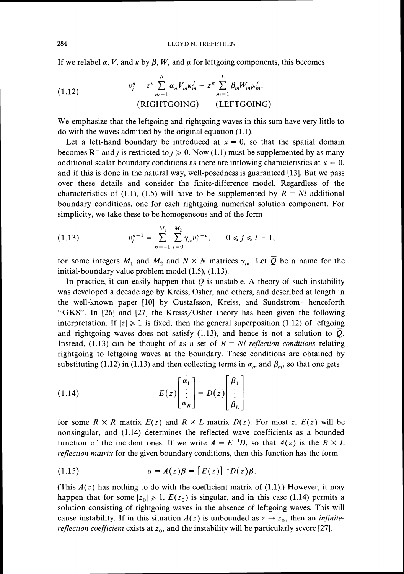If we relabel  $\alpha$ , *V*, and  $\kappa$  by  $\beta$ , *W*, and  $\mu$  for leftgoing components, this becomes

(1.12) 
$$
v_j^n = z^n \sum_{m=1}^R \alpha_m V_m \kappa_m^j + z^n \sum_{m=1}^L \beta_m W_m \mu_m^j.
$$
  
(RIGHTGOING) (LEFTGOING)

We emphasize that the leftgoing and rightgoing waves in this sum have very little to do with the waves admitted by the original equation *(1.1).* 

Let a left-hand boundary be introduced at  $x = 0$ , so that the spatial domain becomes **R**<sup>+</sup> and *j* is restricted to  $j \ge 0$ . Now (1.1) must be supplemented by as many additional scalar boundary conditions as there are inflowing characteristics at  $x = 0$ , and if this is done in the natural way, well-posedness is guaranteed *[13].*But we pass over these details and consider the finite-difference model. Regardless of the characteristics of (1.1), (1.5) will have to be supplemented by  $R = NI$  additional boundary conditions, one for each rightgoing numerical solution component. For simplicity, we take these to be homogeneous and of the form

$$
(1.13) \t v_j^{n+1} = \sum_{\sigma=-1}^{M_1} \sum_{i=0}^{M_2} \gamma_{i\sigma} v_i^{n-\sigma}, \t 0 \le j \le l-1
$$

for some integers  $M_1$  and  $M_2$  and  $N \times N$  matrices  $\gamma_{i\sigma}$ . Let  $\overline{Q}$  be a name for the initial-boundary value problem model *(l.5), (1.13).* 

In practice, it can easily happen that  $\overline{Q}$  is unstable. A theory of such instability was developed a decade ago by Kreiss, Osher, and others, and described at length in the well-known paper [10] by Gustafsson, Kreiss, and Sundström-henceforth "GKS". In *[26]* and *[27]* the Kreiss/Osher theory has been given the following interpretation. If  $|z| \ge 1$  is fixed, then the general superposition (1.12) of leftgoing and rightgoing waves does not satisfy *(1.13),* and hence is not a solution to Q. Instead, (1.13) can be thought of as a set of  $R = NI$  *reflection conditions* relating rightgoing to leftgoing waves at the boundary. These conditions are obtained by substituting (1.12) in (1.13) and then collecting terms in  $\alpha_m$  and  $\beta_m$ , so that one gets

(1.14) 
$$
E(z)\begin{bmatrix} \alpha_1 \\ \vdots \\ \alpha_R \end{bmatrix} = D(z)\begin{bmatrix} \beta_1 \\ \vdots \\ \beta_L \end{bmatrix}
$$

for some  $R \times R$  matrix  $E(z)$  and  $R \times L$  matrix  $D(z)$ . For most z,  $E(z)$  will be nonsingular, and *(1.14)* determines the reflected wave coefficients as a bounded function of the incident ones. If we write  $A = E^{-1}D$ , so that  $A(z)$  is the  $R \times L$ *reflection matrix* for the given boundary conditions, then this function has the form

(1.15) 
$$
\alpha = A(z)\beta = [E(z)]^{-1}D(z)\beta.
$$

(This  $A(z)$  has nothing to do with the coefficient matrix of (1.1).) However, it may happen that for some  $|z_0|\geq 1$ ,  $E(z_0)$  is singular, and in this case (1.14) permits a solution consisting of rightgoing waves in the absence of leftgoing waves. This will cause instability. If in this situation  $A(z)$  is unbounded as  $z \rightarrow z_0$ , then an *infinitereflection coefficient* exists at  $z_0$ , and the instability will be particularly severe [27].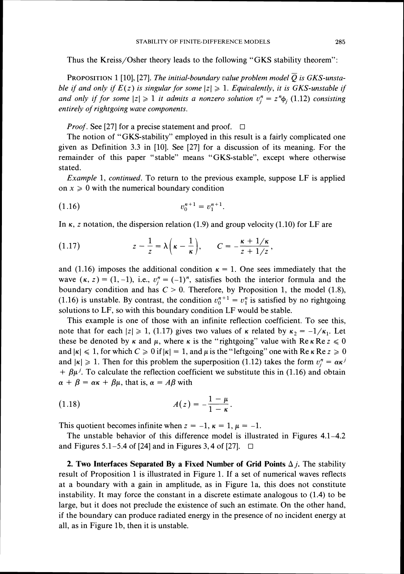Thus the Kreiss/Osher theory leads to the following "GKS stability theorem":

PROPOSITION 1 [10], [27]. *The initial-boundary value problem model Q is GKS-unstable if and only if*  $E(z)$  *is singular for some*  $|z| \ge 1$ *. Equivalently, it is GKS-unstable if and only if for some*  $|z| \ge 1$  *it admits a nonzero solution*  $v_i^n = z^n \phi_i$  (1.12) *consisting entirely of rightgoing wave components.* 

*Proof.* See [27] for a precise statement and proof.  $\Box$ 

The notion of "GKS-stability" employed in this result is a fairly complicated one given as Definition 3.3 in [lo]. See [27] for a discussion of its meaning. For the remainder of this paper "stable" means "GKS-stable", except where otherwise stated.

*Example* 1, *continued.* To return to the previous example, suppose LF is applied on  $x \geq 0$  with the numerical boundary condition

$$
(1.16) \t\t v_0^{n+1} = v_1^{n+1}
$$

In  $\kappa$ , z notation, the dispersion relation (1.9) and group velocity (1.10) for LF are

(1.17) 
$$
z - \frac{1}{z} = \lambda \left( \kappa - \frac{1}{\kappa} \right), \qquad C = -\frac{\kappa + 1/\kappa}{z + 1/z},
$$

and (1.16) imposes the additional condition  $\kappa = 1$ . One sees immediately that the wave  $(\kappa, z) = (1, -1)$ , i.e.,  $v_i^n = (-1)^n$ , satisfies both the interior formula and the boundary condition and has  $C > 0$ . Therefore, by Proposition 1, the model (1.8), (1.16) is unstable. By contrast, the condition  $v_0^{n+1} = v_1^n$  is satisfied by no rightgoing solutions to LF, so with this boundary condition LF would be stable.

This example is one of those with an infinite reflection coefficient. To see this, note that for each  $|z| \ge 1$ , (1.17) gives two values of  $\kappa$  related by  $\kappa_2 = -1/\kappa_1$ . Let these be denoted by  $\kappa$  and  $\mu$ , where  $\kappa$  is the "rightgoing" value with Re  $\kappa$  Re  $z \le 0$ and  $|\kappa| \leq 1$ , for which  $C \geq 0$  if  $|\kappa| = 1$ , and  $\mu$  is the "leftgoing" one with Re  $\kappa$  Re  $z \geq 0$ and  $|\kappa| \ge 1$ . Then for this problem the superposition (1.12) takes the form  $v_i^n = \alpha \kappa^j$  $+ \beta \mu^{j}$ . To calculate the reflection coefficient we substitute this in (1.16) and obtain  $\alpha + \beta = \alpha \kappa + \beta \mu$ , that is,  $\alpha = A\beta$  with

(1.18) 
$$
A(z) = -\frac{1-\mu}{1-\kappa}.
$$

This quotient becomes infinite when  $z = -1$ ,  $\kappa = 1$ ,  $\mu = -1$ .

The unstable behavior of this difference model is illustrated in Figures 4.1-4.2 and Figures 5.1–5.4 of [24] and in Figures 3, 4 of [27].  $\Box$ 

**2. Two Interfaces Separated By a Fixed Number of Grid Points**  $\Delta j$ **. The stability** result of Proposition 1 is illustrated in Figure 1. If a set of numerical waves reflects at a boundary with a gain in amplitude, as in Figure la, this does not constitute instability. It may force the constant in a discrete estimate analogous to (1.4) to be large, but it does not preclude the existence of such an estimate. On the other hand, if the boundary can produce radiated energy in the presence of no incident energy at all, as in Figure lb, then it is unstable.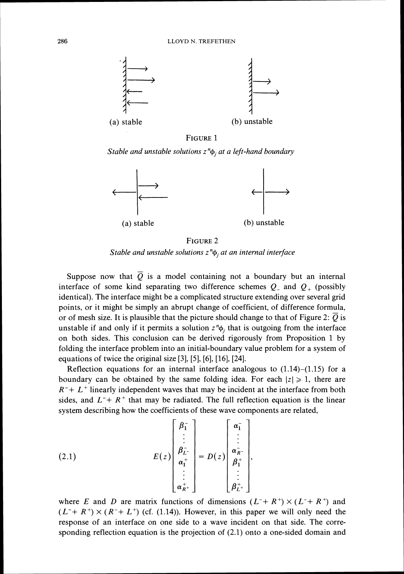

FIGURE 1

*Stable and unstable solutions z<sup>n</sup>φ<sub>i</sub> at a left-hand boundary* 



FIGURE<sub>2</sub> *Stable and unstable solutions z*<sup>n</sup> $\phi$ , *at an internal interface* 

Suppose now that  $\overline{Q}$  is a model containing not a boundary but an internal interface of some kind separating two difference schemes  $Q_$  and  $Q_+$  (possibly identical). The interface might be a complicated structure extending over several grid points, or it might be simply an abrupt change of coefficient, of difference formula, or of mesh size. It is plausible that the picture should change to that of Figure 2:  $\overline{Q}$  is unstable if and only if it permits a solution  $z^n\phi_i$ , that is outgoing from the interface on both sides. This conclusion can be derived rigorously from Proposition 1 by folding the interface problem into an initial-boundary value problem for a system of equations of twice the original size [3], [5], [6], [16], [24].

Reflection equations for an internal interface analogous to  $(1.14)$ – $(1.15)$  for a boundary can be obtained by the same folding idea. For each  $|z| \geq 1$ , there are  $R^-+ L^+$  linearly independent waves that may be incident at the interface from both sides, and  $L^+ + R^+$  that may be radiated. The full reflection equation is the linear system describing how the coefficients of these wave components are related,

(2.1) 
$$
E(z)\begin{bmatrix} \beta_1^- \\ \vdots \\ \beta_{L^-}^- \\ \alpha_1^+ \\ \vdots \\ \alpha_{R^+}^+ \end{bmatrix} = D(z) \begin{bmatrix} \alpha_1^- \\ \vdots \\ \alpha_{R^-}^- \\ \beta_1^+ \\ \vdots \\ \beta_{L^+}^+ \end{bmatrix},
$$

where E and D are matrix functions of dimensions  $(L^+ + R^+) \times (L^+ + R^+)$  and  $(L^+ + R^+) \times (R^- + L^+)$  (cf. (1.14)). However, in this paper we will only need the response of an interface on one side to a wave incident on that side. The corresponding reflection equation is the projection of (2.1) onto a one-sided domain and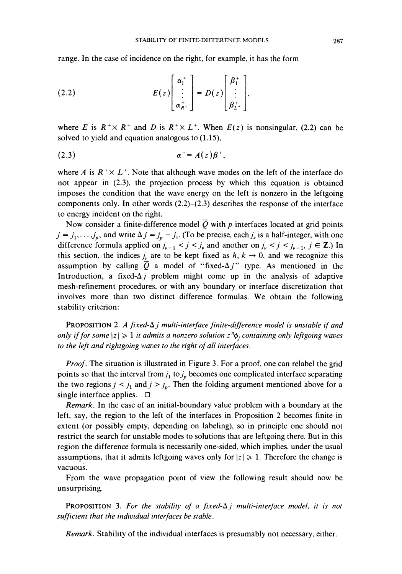range. In the case of incidence on the right, for example. it has the form

(2.2) 
$$
E(z)\begin{bmatrix} \alpha_1^+ \\ \vdots \\ \alpha_{k}^+ \end{bmatrix} = D(z)\begin{bmatrix} \beta_1^+ \\ \vdots \\ \beta_{L^+}^+ \end{bmatrix},
$$

where E is  $R^+ \times R^+$  and D is  $R^+ \times L^+$ . When  $E(z)$  is nonsingular, (2.2) can be solved to yield and equation analogous to  $(1.15)$ ,

$$
\alpha^+ = A(z)\beta^+,
$$

where *A* is  $R^+ \times L^+$ . Note that although wave modes on the left of the interface do not appear in (2.3). the projection process by which this equation is obtained imposes the condition that the wave energy on the left is nonzero in the leftgoing components only. In other words (2.2)-(2.3) describes the response of the interface to energy incident on the right.

Now consider a finite-difference model  $\overline{Q}$  with p interfaces located at grid points  $j = j_1, \ldots, j_p$ , and write  $\Delta j = j_p - j_1$ . (To be precise, each  $j_p$  is a half-integer, with one difference formula applied on  $j_{\nu-1} < j < j_{\nu}$  and another on  $j_{\nu} < j < j_{\nu+1}$ ,  $j \in \mathbb{Z}$ .) In this section, the indices  $j_{\nu}$  are to be kept fixed as  $h, k \rightarrow 0$ , and we recognize this assumption by calling  $\overline{Q}$  a model of "fixed- $\Delta j$ " type. As mentioned in the Introduction, a fixed- $\Delta j$  problem might come up in the analysis of adaptive mesh-refinement procedures, or with any boundary or interface discretization that involves more than two distinct difference formulas. We obtain the following stability criterion:

PROPOSITION 2.*A fixed-A* j *multi-interface finite-difference model is unstable if and only if for some*  $|z| \ge 1$  *it admits a nonzero solution*  $z^n\phi$ *, containing only leftgoing waves to the left and rightgoing waves to the right of all interfaces.* 

*Proof.* The situation is illustrated in Figure 3. For a proof, one can relabel the grid points so that the interval from  $j_1$  to  $j_p$  becomes one complicated interface separating the two regions  $j < j_1$  and  $j > j_p$ . Then the folding argument mentioned above for a single interface applies.  $\Box$ 

*Remark.* In the case of an initial-boundary value problem with a boundary at the left. say, the region to the left of the interfaces in Proposition 2 becomes finite in extent (or possibly empty, depending on labeling), so in principle one should not restrict the search for unstable modes to solutions that are leftgoing there. But in this region the difference formula is necessarily one-sided, which implies. under the usual assumptions, that it admits leftgoing waves only for  $|z| \geq 1$ . Therefore the change is vacuous.

From the wave propagation point of view the following result should now be unsurprising.

**PROPOSITION** 3. For the stability of a fixed- $\Delta j$  multi-interface model, it is not *sufficient that the individual interfaces be stable.* 

*Remark.* Stability of the individual interfaces is presumably not necessary. either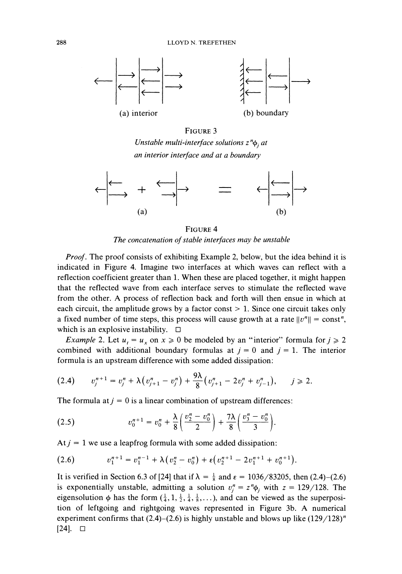

#### FIGURE 3

*Unstable multi-interface solutions*  $z^n\phi_i$  *at an interior interface and at a boundary* 



FIGURE 4 *The concatenation of stable interfaces may be unstable* 

*Proof.* The proof consists of exhibiting Example 2, below, but the idea behind it is indicated in Figure 4. Imagine two interfaces at which waves can reflect with a reflection coefficient greater than 1. When these are placed together, it might happen that the reflected wave from each interface serves to stimulate the reflected wave from the other. A process of reflection back and forth will then ensue in whlch at each circuit, the amplitude grows by a factor const  $> 1$ . Since one circuit takes only a fixed number of time steps, this process will cause growth at a rate  $||v^n|| = \text{const}^n$ , which is an explosive instability.  $\square$ 

*Example 2. Let*  $u_t = u_x$  on  $x \ge 0$  be modeled by an "interior" formula for  $j \ge 2$ combined with additional boundary formulas at  $j = 0$  and  $j = 1$ . The interior formula is an upstream difference with some added dissipation:

$$
(2.4) \t v_j^{n+1} = v_j^n + \lambda \bigl(v_{j+1}^n - v_j^n \bigr) + \frac{9\lambda}{8} \bigl(v_{j+1}^n - 2v_j^n + v_{j-1}^n \bigr), \t j \geq 2.
$$

The formula at  $j = 0$  is a linear combination of upstream differences:

(2.5) 
$$
v_0^{n+1} = v_0^n + \frac{\lambda}{8} \left( \frac{v_2^n - v_0^n}{2} \right) + \frac{7\lambda}{8} \left( \frac{v_3^n - v_0^n}{3} \right).
$$

At  $j = 1$  we use a leapfrog formula with some added dissipation:

$$
(2.6) \t v_1^{n+1} = v_1^{n-1} + \lambda (v_2^n - v_0^n) + \varepsilon (v_2^{n+1} - 2v_1^{n+1} + v_0^{n+1}).
$$

It is verified in Section 6.3 of [24] that if  $\lambda = \frac{1}{8}$  and  $\varepsilon = 1036/83205$ , then (2.4)–(2.6) is exponentially unstable, admitting a solution  $v_j^n = z^n \phi_j$  with  $z = 129/128$ . The eigensolution  $\phi$  has the form  $(\frac{1}{4},1,\frac{1}{2},\frac{1}{4},\frac{1}{8},\ldots)$ , and can be viewed as the superposition of leftgoing and rightgoing waves represented in Figure 3b. A numerical experiment confirms that  $(2.4)$ – $(2.6)$  is highly unstable and blows up like  $(129/128)^n$  $[24]$ .  $\Box$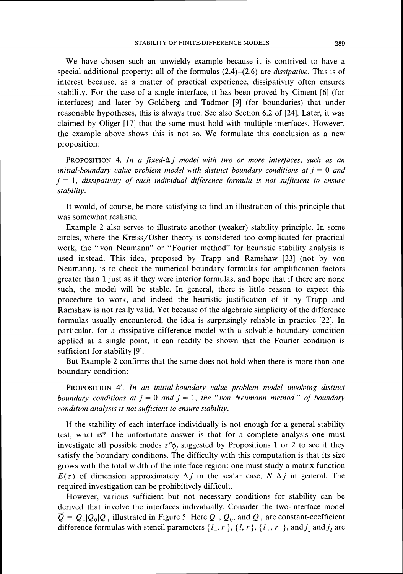We have chosen such an unwieldy example because it is contrived to have a special additional property: all of the formulas (2.4)-(2.6) are *dissipative.* This is of interest because, as a matter of practical experience, dissipativity often ensures stability. For the case of a single interface, it has been proved by Ciment [6] (for interfaces) and later by Goldberg and Tadmor 191 (for boundaries) that under reasonable hypotheses, this is always true. See also Section 6.2 of [24]. Later, it was claimed by Oliger 1171 that the same must hold with multiple interfaces. However, the example above shows this is not so. We formulate this conclusion as a new proposition:

**PROPOSITION 4.** In a fixed- $\Delta j$  model with two or more interfaces, such as an *initial-boundary value problem model with distinct boundary conditions at*  $j = 0$  *and*  $j = 1$ , *dissipativity of each individual difference formula is not sufficient to ensure stability.* 

It would, of course, be more satisfying to find an illustration of this principle that was somewhat realistic.

Example 2 also serves to illustrate another (weaker) stability principle. In some circles, where the Kreiss/Osher theory is considered too complicated for practical work, the "von Neumann" or "Fourier method" for heuristic stability analysis is used instead. Ths idea, proposed by Trapp and Ramshaw [23] (not by von Neumann), is to check the numerical boundary formulas for amplification factors greater than 1just as if they were interior formulas, and hope that if there are none such, the model will be stable. In general, there is little reason to expect this procedure to work, and indeed the heuristic justification of it by Trapp and Ramshaw is not really valid. Yet because of the algebraic simplicity of the difference formulas usually encountered, the idea is surprisingly reliable in practice 1221. In particular, for a dissipative difference model with a solvable boundary condition applied at a single point, it can readily be shown that the Fourier condition is sufficient for stability [9].

But Example 2 confirms that the same does not hold when there is more than one boundary condition:

PROPOSITION 4'. In an initial-boundary value problem model involving distinct *boundary conditions at*  $j = 0$  *and*  $j = 1$ *, the "von Neumann method" of boundary condition analysis is not sufficient to ensure stability.* 

If the stability of each interface individually is not enough for a general stability test, what is? The unfortunate answer is that for a complete analysis one must investigate all possible modes  $z^n\phi_i$ , suggested by Propositions 1 or 2 to see if they satisfy the boundary conditions. The difficulty with ths computation is that its size grows with the total width of the interface region: one must study a matrix function  $E(z)$  of dimension approximately  $\Delta j$  in the scalar case,  $N \Delta j$  in general. The required investigation can be prohibitively difficult.

However, various sufficient but not necessary conditions for stability can be derived that involve the interfaces individually. Consider the two-interface model  $\overline{Q} = Q_{\perp}|Q_0|Q_+$  illustrated in Figure 5. Here  $Q_{\perp}, Q_0$ , and  $Q_+$  are constant-coefficient difference formulas with stencil parameters  $\{l_-, r_-\}, \{l, r\}, \{l_+, r_+\}, \text{and } j_1 \text{ and } j_2 \text{ are}$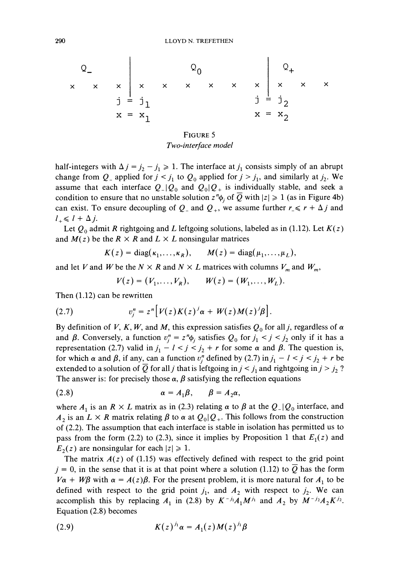FIGURE5

Two-interface model

half-integers with  $\Delta j = j_2 - j_1 \ge 1$ . The interface at  $j_1$  consists simply of an abrupt change from  $Q_{-}$  applied for  $j < j_1$  to  $Q_0$  applied for  $j > j_1$ , and similarly at  $j_2$ . We assume that each interface  $Q_-|Q_0|$  and  $Q_0|Q_+$  is individually stable, and seek a condition to ensure that no unstable solution  $z^n\phi_i$  of Q with  $|z|\geq 1$  (as in Figure 4b) can exist. To ensure decoupling of  $Q_{-}$  and  $Q_{+}$ , we assume further  $r_{-} \le r + \Delta j$  and  $l_{+} \leq l + \Delta j$ .

Let  $Q_0$  admit R rightgoing and L leftgoing solutions, labeled as in (1.12). Let  $K(z)$ and  $M(z)$  be the  $R \times R$  and  $L \times L$  nonsingular matrices

$$
K(z) = \text{diag}(\kappa_1,\ldots,\kappa_R), \qquad M(z) = \text{diag}(\mu_1,\ldots,\mu_L),
$$

and let V and W be the  $N \times R$  and  $N \times L$  matrices with columns  $V_m$  and  $W_m$ ,

$$
V(z) = (V_1, \ldots, V_R), \qquad W(z) = (W_1, \ldots, W_L).
$$

Then (1.12) can be rewritten

(2.7) 
$$
v_j^n = z^n \Big[ V(z) K(z)^j \alpha + W(z) M(z)^j \beta \Big].
$$

By definition of V, K, W, and M, this expression satisfies  $Q_0$  for all j, regardless of  $\alpha$ and  $\beta$ . Conversely, a function  $v_i^n = z^n \phi_i$  satisfies  $Q_0$  for  $j_1 < j < j_2$  only if it has a representation (2.7) valid in  $j_1 - l < j < j_2 + r$  for some  $\alpha$  and  $\beta$ . The question is, for which  $\alpha$  and  $\beta$ , if any, can a function  $v_i^n$  defined by (2.7) in  $j_1 - l < j < j_2 + r$  be extended to a solution of Q for all j that is leftgoing in  $j < j_1$  and rightgoing in  $j > j_2$ ? The answer is: for precisely those  $\alpha$ ,  $\beta$  satisfying the reflection equations

$$
\alpha = A_1 \beta, \qquad \beta = A_2 \alpha,
$$

where  $A_1$  is an  $R \times L$  matrix as in (2.3) relating  $\alpha$  to  $\beta$  at the  $Q_1 Q_0$  interface, and  $A_2$  is an  $L \times R$  matrix relating  $\beta$  to  $\alpha$  at  $Q_0 | Q_+$ . This follows from the construction of (2.2). The assumption that each interface is stable in isolation has permitted us to pass from the form (2.2) to (2.3), since it implies by Proposition 1 that  $E_1(z)$  and  $E_2(z)$  are nonsingular for each  $|z| \ge 1$ .

The matrix  $A(z)$  of (1.15) was effectively defined with respect to the grid point  $j = 0$ , in the sense that it is at that point where a solution (1.12) to Q has the form  $V\alpha + W\beta$  with  $\alpha = A(z)\beta$ . For the present problem, it is more natural for  $A_1$  to be defined with respect to the grid point  $j_1$ , and  $A_2$  with respect to  $j_2$ . We can accomplish this by replacing  $A_1$  in (2.8) by  $K^{-j_1}A_1M^{j_1}$  and  $A_2$  by  $M^{-j_2}A_2K^{j_2}$ . Equation (2.8) becomes

(2.9) 
$$
K(z)^{J_1} \alpha = A_1(z) M(z)^{J_1} \beta
$$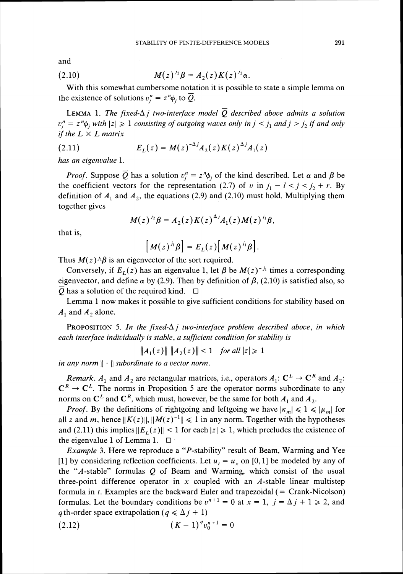and

(2.10) 
$$
M(z)^{j_2} \beta = A_2(z) K(z)^{j_2} \alpha.
$$

With this somewhat cumbersome notation it is possible to state a simple lemma on the existence of solutions  $v_i^n = z^n \phi_i$  to Q.

**LEMMA** 1. The fixed- $\Delta j$  two-interface model  $\overline{Q}$  described above admits a solution  $v_j^n = z^n \phi_j$  with  $|z| \geq 1$  consisting of outgoing waves only in  $j < j_1$  and  $j > j_2$  if and only *if the*  $L \times L$  *matrix* 

(2.11) 
$$
E_L(z) = M(z)^{-\Delta j} A_2(z) K(z)^{\Delta j} A_1(z)
$$

*has an eigenvalue 1.* 

*Proof.* Suppose  $\overline{Q}$  has a solution  $v_i'' = z''\phi_i$  of the kind described. Let  $\alpha$  and  $\beta$  be the coefficient vectors for the representation (2.7) of *v* in  $j_1 - l < j < j_2 + r$ . By definition of  $A_1$  and  $A_2$ , the equations (2.9) and (2.10) must hold. Multiplying them together gives

$$
M(z)^{j_2}\beta = A_2(z)K(z)^{\Delta j}A_1(z)M(z)^{j_1}\beta,
$$

that is,

$$
\big[M(z)^{j_1}\beta\big]=E_L(z)\big[M(z)^{j_1}\beta\big].
$$

Thus  $M(z)^{j_1} \beta$  is an eigenvector of the sort required.

Conversely, if  $E_L(z)$  has an eigenvalue 1, let  $\beta$  be  $M(z)^{-j_1}$  times a corresponding eigenvector, and define  $\alpha$  by (2.9). Then by definition of  $\beta$ , (2.10) is satisfied also, so  $\overline{Q}$  has a solution of the required kind.  $\Box$ 

Lemma 1now makes it possible to give sufficient conditions for stability based on  $A_1$  and  $A_2$  alone.

PROPOSITION 5. In the fixed- $\Delta j$  two-interface problem described above, in which *each interface individually is stable, a sufficient condition for stability is* 

$$
||A_1(z)|| \, ||A_2(z)|| < 1 \quad \text{for all } |z| \geq 1
$$

*in any norm*  $|| \cdot ||$  *subordinate to a vector norm.* 

*Remark. A<sub>1</sub> and A<sub>2</sub> are rectangular matrices, i.e., operators*  $A_1: \mathbb{C}^L \to \mathbb{C}^R$  *and*  $A_2:$  $C^R \rightarrow C^L$ . The norms in Proposition 5 are the operator norms subordinate to any norms on  $\mathbb{C}^L$  and  $\mathbb{C}^R$ , which must, however, be the same for both  $A_1$  and  $A_2$ .

*Proof.* By the definitions of rightgoing and leftgoing we have  $|K_m| \leq 1 \leq |\mu_m|$  for all *z* and *m*, hence  $||K(z)||, ||M(z)^{-1}|| \le 1$  in any norm. Together with the hypotheses and (2.11) this implies  $||E_I(z)|| < 1$  for each  $|z| \ge 1$ , which precludes the existence of the eigenvalue 1 of Lemma 1.  $\square$ 

*Example* 3. Here we reproduce a "P-stability" result of Beam, Warming and Yee [1] by considering reflection coefficients. Let  $u_t = u_x$  on [0, 1] be modeled by any of the " $A$ -stable" formulas  $Q$  of Beam and Warming, which consist of the usual three-point difference operator in *x* coupled with an A-stable linear multistep formula in  $t$ . Examples are the backward Euler and trapezoidal  $($  = Crank-Nicolson) formulas. Let the boundary conditions be  $v^{n+1} = 0$  at  $x = 1$ ,  $j = \Delta j + 1 \ge 2$ , and *q* th-order space extrapolation  $(q \le \Delta j + 1)$ 

(2.12) 
$$
(K-1)^q v_0^{n+1} = 0
$$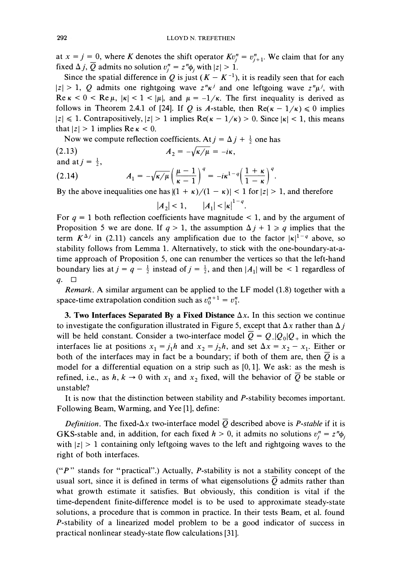at  $x = j = 0$ , where K denotes the shift operator  $Kv_i^n = v_{i+1}^n$ . We claim that for any fixed  $\Delta j$ ,  $\overline{Q}$  admits no solution  $v_i^n = z^n \phi_i$  with  $|z| > 1$ .

Since the spatial difference in Q is just  $(K - K^{-1})$ , it is readily seen that for each  $|z| > 1$ , Q admits one rightgoing wave  $z^n \kappa^j$  and one leftgoing wave  $z^n \mu^j$ , with Re  $\kappa$  < 0 < Re  $\mu$ ,  $|\kappa|$  < 1 <  $|\mu|$ , and  $\mu = -1/\kappa$ . The first inequality is derived as follows in Theorem 2.4.1 of [24]. If Q is A-stable, then Re( $\kappa - 1/\kappa$ )  $\leq 0$  implies  $|z| \leq 1$ . Contrapositively,  $|z| > 1$  implies Re( $\kappa - 1/\kappa$ ) > 0. Since  $|\kappa| < 1$ , this means that  $|z| > 1$  implies Re  $\kappa < 0$ .

Now we compute reflection coefficients. At  $j = \Delta j + \frac{1}{2}$  one has <br>(2.13)  $A_2 = -\sqrt{\kappa/\mu} = -i\kappa$ ,

and at 
$$
j = \frac{1}{2}
$$
,

(2.14) 
$$
A_1 = -\sqrt{\kappa/\mu} \left(\frac{\mu-1}{\kappa-1}\right)^q = -i\kappa^{1-q} \left(\frac{1+\kappa}{1-\kappa}\right)^q.
$$

By the above inequalities one has  $|(1 + \kappa)/(1 - \kappa)| < 1$  for  $|z| > 1$ , and therefore

$$
|A_2| < 1, \qquad |A_1| < |\kappa|^{1-q}.
$$

For  $q = 1$  both reflection coefficients have magnitude  $\lt 1$ , and by the argument of Proposition 5 we are done. If  $q > 1$ , the assumption  $\Delta j + 1 \ge q$  implies that the term  $K^{\Delta j}$  in (2.11) cancels any amplification due to the factor  $|\kappa|^{1-q}$  above, so stability follows from Lemma 1. Alternatively, to stick with the one-boundary-at-atime approach of Proposition 5, one can renumber the vertices so that the left-hand boundary lies at  $j = q - \frac{1}{2}$  instead of  $j = \frac{1}{2}$ , and then  $|A_1|$  will be < 1 regardless of  $q. \square$ 

Remark. A similar argument can be applied to the LF model (1.8) together with a space-time extrapolation condition such as  $v_0^{n+1} = v_1^n$ .

**3. Two Interfaces Separated By a Fixed Distance**  $\Delta x$ . In this section we continue to investigate the configuration illustrated in Figure 5, except that  $\Delta x$  rather than  $\Delta i$ will be held constant. Consider a two-interface model  $\overline{Q} = Q_{-}|Q_{0}|Q_{+}$  in which the interfaces lie at positions  $x_1 = j_1 h$  and  $x_2 = j_2 h$ , and set  $\Delta x = x_2 - x_1$ . Either or both of the interfaces may in fact be a boundary; if both of them are, then  $\overline{Q}$  is a model for a differential equation on a strip such as [0,1]. We ask: as the mesh is refined, i.e., as  $h, k \to 0$  with  $x_1$  and  $x_2$  fixed, will the behavior of  $\overline{Q}$  be stable or unstable?

It is now that the distinction between stability and P-stability becomes important. Following Beam, Warming, and Yee [I], define:

*Definition.* The fixed- $\Delta x$  two-interface model  $\overline{Q}$  described above is *P-stable* if it is GKS-stable and, in addition, for each fixed  $h > 0$ , it admits no solutions  $v_i^n = z^n \phi_i$ with  $|z| > 1$  containing only leftgoing waves to the left and rightgoing waves to the right of both interfaces.

 $("P"$  stands for "practical".) Actually, P-stability is not a stability concept of the usual sort, since it is defined in terms of what eigensolutions  $\overline{Q}$  admits rather than what growth estimate it satisfies. But obviously, this condition is vital if the time-dependent finite-difference model is to be used to approximate steady-state solutions, a procedure that is common in practice. In their tests Beam, et al. found P-stability of a linearized model problem to be a good indicator of success in practical nonlinear steady-state flow calculations 1311.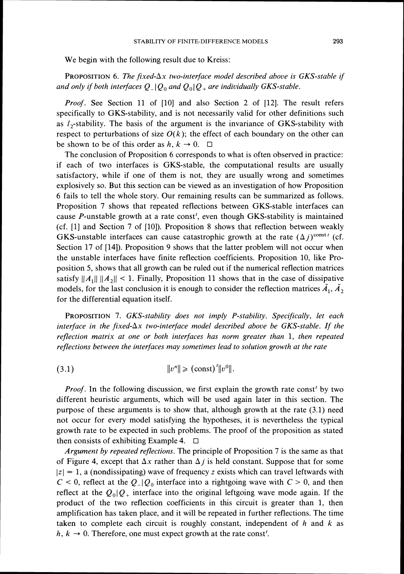We begin with the following result due to Kreiss:

PROPOSITION 6. *The fixed-* $\Delta x$  *two-interface model described above is GKS-stable if and only if both interfaces*  $Q_{-}|Q_0|$  *and*  $Q_0|Q_+$  *are individually GKS-stable.* 

*Proof.* See Section 11 of [10] and also Section 2 of [12]. The result refers specifically to GKS-stability, and is not necessarily valid for other definitions such as  $l_2$ -stability. The basis of the argument is the invariance of GKS-stability with respect to perturbations of size  $O(k)$ ; the effect of each boundary on the other can be shown to be of this order as  $h, k \rightarrow 0$ .  $\Box$ 

The conclusion of Proposition 6 corresponds to what is often observed in practice: if each of two interfaces is GKS-stable, the computational results are usually satisfactory, while if one of them is not, they are usually wrong and sometimes explosively so. But this section can be viewed as an investigation of how Proposition 6 fails to tell the whole story. Our remaining results can be summarized as follows. Proposition 7 shows that repeated reflections between GKS-stable interfaces can cause  $P$ -unstable growth at a rate const<sup> $t$ </sup>, even though GKS-stability is maintained (cf. [I] and Section 7 of [lo]). Proposition 8 shows that reflection between weakly GKS-unstable interfaces can cause catastrophic growth at the rate  $(\Delta j)^{\text{const}}$  (cf. Section 17 of [14]). Proposition 9 shows that the latter problem will not occur when the unstable interfaces have finite reflection coefficients. Proposition 10, like Proposition *5,* shows that all growth can be ruled out if the numerical reflection matrices satisfy  $||A_1|| ||A_2|| < 1$ . Finally, Proposition 11 shows that in the case of dissipative models, for the last conclusion it is enough to consider the reflection matrices  $\tilde{A}_1$ ,  $\tilde{A}_2$ for the differential equation itself.

PROPOSITION 7. *GKS-stability does not imply P-stability. Specifically, let each interface in the fixed-Ax two-interface model described above be GKS-stable. If the refection matrix at one or both interfaces has norm greater than 1, then repeated refections between the interfaces may sometimes lead to solution growth at the rate* 

(3.1) 
$$
||v^n|| \geq (const)'||v^0||.
$$

*Proof.* In the following discussion, we first explain the growth rate const<sup>'</sup> by two different heuristic arguments, which will be used again later in this section. The purpose of these arguments is to show that, although growth at the rate (3.1) need not occur for every model satisfying the hypotheses, it is nevertheless the typical growth rate to be expected in such problems. The proof of the proposition as stated then consists of exhibiting Example 4.  $\Box$ 

*Argument by repeated reflections.* The principle of Proposition 7 is the same as that of Figure 4, except that  $\Delta x$  rather than  $\Delta j$  is held constant. Suppose that for some  $|z| = 1$ , a (nondissipating) wave of frequency *z* exists which can travel leftwards with  $C < 0$ , reflect at the  $Q_{-} | Q_0$  interface into a rightgoing wave with  $C > 0$ , and then reflect at the  $Q_0|Q_+$  interface into the original leftgoing wave mode again. If the product of the two reflection coefficients in this circuit is greater than 1, then amplification has taken place, and it will be repeated in further reflections. The time taken to complete each circuit is roughly constant, independent of *h* and k as  $h, k \rightarrow 0$ . Therefore, one must expect growth at the rate const<sup>t</sup>.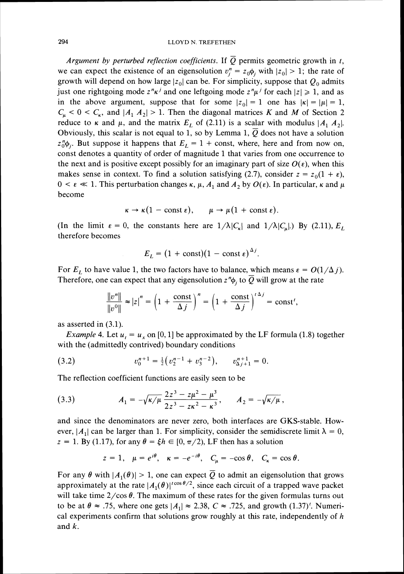Argument by perturbed reflection coefficients. If  $\overline{Q}$  permits geometric growth in t, we can expect the existence of an eigensolution  $v_i^n = z_0 \phi_i$ , with  $|z_0| > 1$ ; the rate of growth will depend on how large  $|z_0|$  can be. For simplicity, suppose that  $Q_0$  admits just one rightgoing mode  $z^n \kappa^j$  and one leftgoing mode  $z^n \mu^j$  for each  $|z| \geq 1$ , and as in the above argument, suppose that for some  $|z_0|= 1$  one has  $|\kappa| = |\mu|= 1$ ,  $C_{\mu}$  < 0 <  $C_{\kappa}$ , and  $|A_1 \, A_2|$  > 1. Then the diagonal matrices K and M of Section 2 reduce to k and  $\mu$ , and the matrix  $E_L$  of (2.11) is a scalar with modulus  $|A_1 \, A_2|$ . Obviously, this scalar is not equal to 1, so by Lemma 1,  $\overline{Q}$  does not have a solution  $z_0^n \phi_i$ . But suppose it happens that  $E_L = 1 + \text{const}$ , where, here and from now on, const denotes a quantity of order of magnitude 1 that varies from one occurrence to the next and is positive except possibly for an imaginary part of size  $O(\epsilon)$ , when this makes sense in context. To find a solution satisfying (2.7), consider  $z = z_0(1 + \epsilon)$ ,  $0 \le \varepsilon \ll 1$ . This perturbation changes  $\kappa$ ,  $\mu$ ,  $A_1$  and  $A_2$  by  $O(\varepsilon)$ . In particular,  $\kappa$  and  $\mu$ become

$$
\kappa \to \kappa (1 - \text{const } \epsilon), \quad \mu \to \mu (1 + \text{const } \epsilon).
$$

(In the limit  $\varepsilon = 0$ , the constants here are  $1/\lambda |C_{\kappa}|$  and  $1/\lambda |C_{\kappa}|$ .) By (2.11),  $E_L$ therefore becomes

$$
E_L = (1 + \text{const})(1 - \text{const } \epsilon)^{\Delta t}
$$
.

For  $E_L$  to have value 1, the two factors have to balance, which means  $\varepsilon = O(1/\Delta j)$ . Therefore, one can expect that any eigensolution  $z^n\phi_i$  to  $\overline{Q}$  will grow at the rate

$$
\frac{\|v^n\|}{\|v^0\|} \approx |z|^n = \left(1 + \frac{\text{const}}{\Delta j}\right)^n = \left(1 + \frac{\text{const}}{\Delta j}\right)^{i \Delta j} = \text{const}^i,
$$

as asserted in (3.1).

*Example* 4. Let  $u_t = u_x$  on [0, 1] be approximated by the LF formula (1.8) together with the (admittedly contrived) boundary conditions

(3.2) 
$$
v_0^{n+1} = \frac{1}{2} \left( v_2^{n-1} + v_3^{n-2} \right), \qquad v_{\Delta j+1}^{n+1} = 0.
$$

The reflection coefficient functions are easily seen to be

(3.3) 
$$
A_1 = -\sqrt{\kappa/\mu} \frac{2z^3 - z\mu^2 - \mu^3}{2z^3 - z\kappa^2 - \kappa^3}, \qquad A_2 = -\sqrt{\kappa/\mu},
$$

and since the denominators are never zero, both interfaces are GKS-stable. However,  $|A_1|$  can be larger than 1. For simplicity, consider the semidiscrete limit  $\lambda = 0$ ,  $z = 1$ . By (1.17), for any  $\theta = \xi h \in [0, \pi/2)$ , LF then has a solution

$$
z = 1
$$
,  $\mu = e^{i\theta}$ ,  $\kappa = -e^{-i\theta}$ ,  $C_{\mu} = -\cos \theta$ ,  $C_{\kappa} = \cos \theta$ .

For any  $\theta$  with  $|A_1(\theta)| > 1$ , one can expect  $\overline{Q}$  to admit an eigensolution that grows approximately at the rate  $|A_1(\theta)|^{1}$ <sup>cos  $\theta/2$ </sup>, since each circuit of a trapped wave packet will take time  $2/\cos \theta$ . The maximum of these rates for the given formulas turns out to be at  $\theta \approx .75$ , where one gets  $\vert A_1 \vert \approx 2.38$ ,  $C \approx .725$ , and growth (1.37)'. Numerical experiments confirm that solutions grow roughly at this rate, independently of  $h$ and k.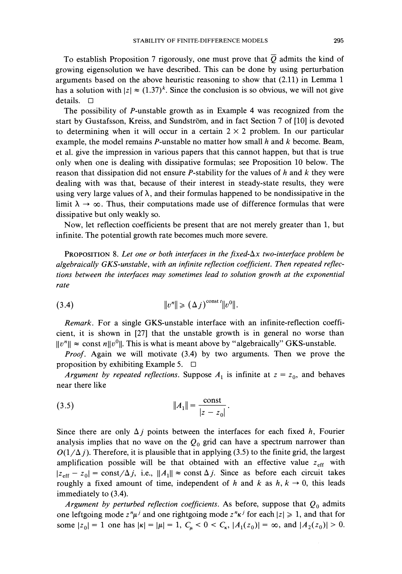To establish Proposition 7 rigorously, one must prove that  $Q$  admits the kind of growing eigensolution we have described. This can be done by using perturbation arguments based on the above heuristic reasoning to show that *(2.11)* in Lemma *1*  has a solution with  $|z| \approx (1.37)^k$ . Since the conclusion is so obvious, we will not give details.  $\Box$ 

The possibility of P-unstable growth as in Example *4* was recognized from the start by Gustafsson, Kreiss, and Sundstrom, and in fact Section 7 of *[lo]*is devoted to determining when it will occur in a certain  $2 \times 2$  problem. In our particular example, the model remains P-unstable no matter how small *h* and *k* become. Beam, et al. give the impression in various papers that this cannot happen, but that is true only when one is dealing with dissipative formulas; see Proposition *10* below. The reason that dissipation did not ensure P-stability for the values of *h* and *k* they were dealing with was that, because of their interest in steady-state results, they were using very large values of  $\lambda$ , and their formulas happened to be nondissipative in the limit  $\lambda \to \infty$ . Thus, their computations made use of difference formulas that were dissipative but only weakly so.

Now, let reflection coefficients be present that are not merely greater than *1,* but infinite. The potential growth rate becomes much more severe.

PROPOSITION 8. Let one or both interfaces in the fixed- $\Delta x$  two-interface problem be *algebraically GKS-unstable, with an infinite reflection coefficient. Then repeated reflections between the interfaces may sometimes lead to solution growth at the exponential rate* 

$$
(3.4) \t\t\t\t\t||v^n|| \geq (\Delta j)^{\text{const } t} ||v^0||.
$$

*Remark.* For a single GKS-unstable interface with an infinite-reflection coefficient, it is shown in *[27]* that the unstable growth is in general no worse than  $||v^n|| \approx$  const *n*|| $v^0$ ||. This is what is meant above by "algebraically" GKS-unstable.

*Proof.* Again we will motivate *(3.4)* by two arguments. Then we prove the proposition by exhibiting Example *5.* 

*Argument by repeated reflections.* Suppose  $A_1$  is infinite at  $z = z_0$ , and behaves near there like

(3.5) 
$$
||A_1|| = \frac{\text{const}}{|z - z_0|}.
$$

Since there are only  $\Delta j$  points between the interfaces for each fixed *h*, Fourier analysis implies that no wave on the  $Q_0$  grid can have a spectrum narrower than  $O(1/\Delta j)$ . Therefore, it is plausible that in applying (3.5) to the finite grid, the largest amplification possible will be that obtained with an effective value  $z_{\text{eff}}$  with  $|z_{\text{eff}}-z_0| = \text{const}/\Delta j$ , i.e.,  $||A_1|| \approx \text{const} \Delta j$ . Since as before each circuit takes roughly a fixed amount of time, independent of *h* and *k* as  $h, k \rightarrow 0$ , this leads immediately to *(3.4).* 

*Argument by perturbed reflection coefficients.* As before, suppose that *Q,* admits one leftgoing mode  $z^n\mu^j$  and one rightgoing mode  $z^n\kappa^j$  for each  $|z| \geq 1$ , and that for some  $|z_0| = 1$  one has  $|\kappa| = |\mu| = 1$ ,  $C_{\mu} < 0 < C_{\kappa}$ ,  $|A_1(z_0)| = \infty$ , and  $|A_2(z_0)| > 0$ .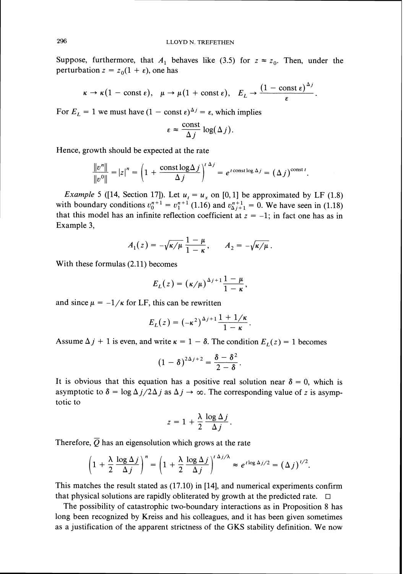Suppose, furthermore, that  $A_1$  behaves like (3.5) for  $z \approx z_0$ . Then, under the perturbation  $z = z_0(1 + \varepsilon)$ , one has

$$
\kappa \to \kappa (1 - \text{const } \epsilon), \quad \mu \to \mu (1 + \text{const } \epsilon), \quad E_L \to \frac{(1 - \text{const } \epsilon)^{\Delta_J}}{\epsilon}.
$$

For  $E_L = 1$  we must have  $(1 - \text{const } \epsilon)^{\Delta j} = \epsilon$ , which implies

$$
\varepsilon \approx \frac{\text{const}}{\Delta j} \log(\Delta j).
$$

Hence, growth should be expected at the rate

$$
\frac{\|v^n\|}{\|v^0\|} = |z|^n = \left(1 + \frac{\text{const} \log \Delta j}{\Delta j}\right)^{t \Delta j} = e^{t \text{const} \log \Delta j} = (\Delta j)^{\text{const} t}.
$$

*Example* 5 ([14, Section 17]). Let  $u_t = u_x$  on [0, 1] be approximated by LF (1.8) with boundary conditions  $v_0^{n+1} = v_1^{n+1}$  (1.16) and  $v_{\Delta j+1}^{n+1} = 0$ . We have seen in (1.18) that this model has an infinite reflection coefficient at  $z = -1$ ; in fact one has as in Example 3,

$$
A_1(z)=-\sqrt{\kappa/\mu}\,\frac{1-\mu}{1-\kappa},\qquad A_2=-\sqrt{\kappa/\mu}\,.
$$

With these formulas (2.11) becomes

$$
E_L(z) = (\kappa/\mu)^{\Delta_j+1} \frac{1-\mu}{1-\kappa},
$$

and since  $\mu = -1/\kappa$  for LF, this can be rewritten

$$
E_L(z) = (-\kappa^2)^{\Delta_j + 1} \frac{1 + 1/\kappa}{1 - \kappa}
$$

Assume  $\Delta j + 1$  is even, and write  $\kappa = 1 - \delta$ . The condition  $E_L(z) = 1$  becomes

$$
(1-\delta)^{2\Delta j+2}=\frac{\delta-\delta^2}{2-\delta}.
$$

It is obvious that this equation has a positive real solution near  $\delta = 0$ , which is asymptotic to  $\delta = \log \Delta j / 2\Delta j$  as  $\Delta j \rightarrow \infty$ . The corresponding value of z is asymptotic to

$$
z = 1 + \frac{\lambda}{2} \frac{\log \Delta j}{\Delta j}.
$$

Therefore,  $\overline{Q}$  has an eigensolution which grows at the rate

$$
\left(1+\frac{\lambda}{2}\frac{\log\Delta j}{\Delta j}\right)^n=\left(1+\frac{\lambda}{2}\frac{\log\Delta j}{\Delta j}\right)^{t\Delta j/\lambda}\approx e^{t\log\Delta j/2}=\left(\Delta j\right)^{t/2}.
$$

This matches the result stated as (17.10) in [14], and numerical experiments confirm that physical solutions are rapidly obliterated by growth at the predicted rate.  $\Box$ 

The possibility of catastrophic two-boundary interactions as in Proposition 8 has long been recognized by Kreiss and his colleagues, and it has been given sometimes as a justification of the apparent strictness of the GKS stability definition. We now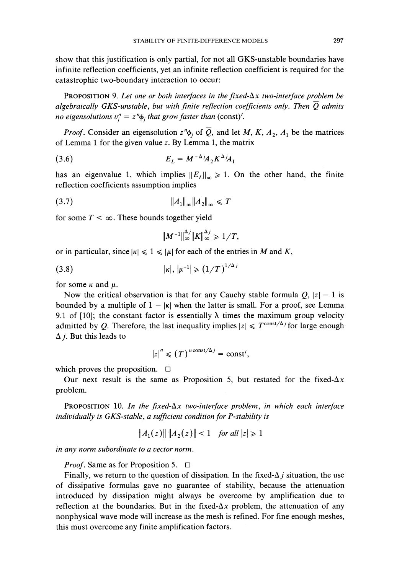show that this justification is only partial, for not all GKS-unstable boundaries have infinite reflection coefficients, yet an infinite reflection coefficient is required for the catastrophic two-boundary interaction to occur:

PROPOSITION 9. Let one or both interfaces in the fixed- $\Delta x$  two-interface problem be *algebraically GKS-unstable, but with finite reflection coefficients only. Then*  $\overline{Q}$  *admits no eigensolutions*  $v_i^n = z^n \phi_i$  *that grow faster than* (const)<sup>*t*</sup>.

*Proof.* Consider an eigensolution  $z^n\phi_j$  of  $\overline{Q}$ , and let M, K,  $A_2$ ,  $A_1$  be the matrices of Lemma 1for the given value *z.* By Lemma *1,* the matrix

$$
(3.6) \t\t\t\t E_L = M^{-\Delta j} A_2 K^{\Delta j} A_1
$$

has an eigenvalue 1, which implies  $||E_L||_{\infty} \ge 1$ . On the other hand, the finite reflection coefficients assumption implies

$$
(3.7) \t\t\t\t \|A_1\|_{\infty} \|A_2\|_{\infty} \leq T
$$

for some  $T < \infty$ . These bounds together yield

$$
||M^{-1}||_{\infty}^{\Delta j}||K||_{\infty}^{\Delta j}\geq 1/T
$$

or in particular, since  $|\kappa| \leq 1 \leq |\mu|$  for each of the entries in *M* and *K*,

$$
(3.8) \t\t |k|, |\mu^{-1}| \ge (1/T)^{1/\Delta}
$$

for some  $\kappa$  and  $\mu$ .

Now the critical observation is that for any Cauchy stable formula  $Q$ ,  $|z| - 1$  is bounded by a multiple of  $1 - |k|$  when the latter is small. For a proof, see Lemma 9.1 of [10]; the constant factor is essentially  $\lambda$  times the maximum group velocity admitted by Q. Therefore, the last inequality implies  $|z| \leq T^{\text{const}/\Delta j}$  for large enough  $\Delta$  *j*. But this leads to

$$
|z|^n \leq (T)^{n \text{ const}/\Delta j} = \text{const}^i,
$$

which proves the proposition.  $\square$ 

Our next result is the same as Proposition 5, but restated for the fixed- $\Delta x$ problem.

PROPOSITION 10. In the fixed- $\Delta x$  two-interface problem, in which each interface *individually is GKS-stable, a sufficient condition for P-stability is* 

$$
||A_1(z)|| ||A_2(z)|| < 1 \quad \text{for all } |z| \geq 1
$$

*in any norm subordinate to a vector norm.* 

*Proof.* Same as for Proposition 5. <del>□</del>

Finally, we return to the question of dissipation. In the fixed- $\Delta j$  situation, the use of dissipative formulas gave no guarantee of stability, because the attenuation introduced by dissipation might always be overcome by amplification due to reflection at the boundaries. But in the fixed- $\Delta x$  problem, the attenuation of any nonphysical wave mode will increase as the mesh is refined. For fine enough meshes, this must overcome any finite amplification factors.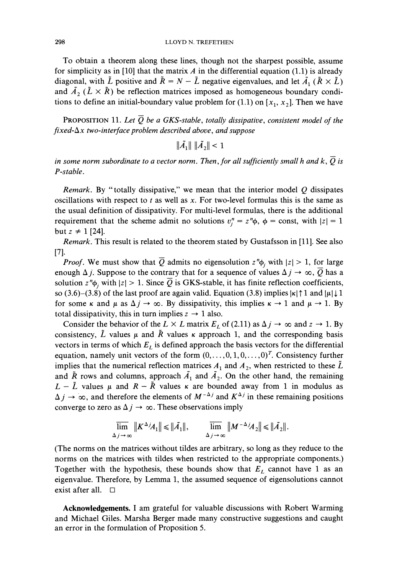To obtain a theorem along these lines, though not the sharpest possible, assume for simplicity as in [10] that the matrix  $A$  in the differential equation (1.1) is already diagonal, with  $\tilde{L}$  positive and  $\tilde{R} = N - \tilde{L}$  negative eigenvalues, and let  $\tilde{A}_1$  ( $\tilde{R} \times \tilde{L}$ ) and  $\tilde{A}_2$  ( $\tilde{L} \times \tilde{R}$ ) be reflection matrices imposed as homogeneous boundary conditions to define an initial-boundary value problem for  $(1.1)$  on  $[x_1, x_2]$ . Then we have

PROPOSITION 11. Let  $Q$  be a GKS-stable, totally dissipative, consistent model of the *fixed-Ax two-interface problem described above, and suppose* 

 $\|\tilde{A}_1\| \|\tilde{A}_2\| < 1$ 

*in some norm subordinate to a vector norm. Then, for all sufficiently small h and k,*  $\overline{Q}$  *is P-stable.* 

*Remark.* By "totally dissipative," we mean that the interior model Q dissipates oscillations with respect to *t* as well as x. For two-level formulas this is the same as the usual definition of dissipativity. For multi-level formulas, there is the additional requirement that the scheme admit no solutions  $v_i^n = z^n \phi$ ,  $\phi = \text{const}$ , with  $|z| = 1$ but  $z \neq 1$  [24].

*Remark.* This result is related to the theorem stated by Gustafsson in [11]. See also [71.

*Proof.* We must show that  $\overline{Q}$  admits no eigensolution  $z^n\phi_i$  with  $|z| > 1$ , for large enough  $\Delta j$ . Suppose to the contrary that for a sequence of values  $\Delta j \rightarrow \infty$ ,  $\overline{Q}$  has a solution  $z^n\phi_j$ , with  $|z| > 1$ . Since  $\overline{Q}$  is GKS-stable, it has finite reflection coefficients, so (3.6)–(3.8) of the last proof are again valid. Equation (3.8) implies  $|\kappa|$  1 and  $|\mu| \downarrow 1$ for some  $\kappa$  and  $\mu$  as  $\Delta j \rightarrow \infty$ . By dissipativity, this implies  $\kappa \rightarrow 1$  and  $\mu \rightarrow 1$ . By total dissipativity, this in turn implies  $z \rightarrow 1$  also.

Consider the behavior of the  $L \times L$  matrix  $E_L$  of (2.11) as  $\Delta j \to \infty$  and  $z \to 1$ . By consistency,  $\tilde{L}$  values  $\mu$  and  $\tilde{R}$  values  $\kappa$  approach 1, and the corresponding basis vectors in terms of which  $E<sub>L</sub>$  is defined approach the basis vectors for the differential equation, namely unit vectors of the form  $(0, \ldots, 0, 1, 0, \ldots, 0)^T$ . Consistency further implies that the numerical reflection matrices  $A_1$  and  $A_2$ , when restricted to these  $\tilde{L}$ and  $\tilde{R}$  rows and columns, approach  $\tilde{A}_1$  and  $\tilde{A}_2$ . On the other hand, the remaining  $L - \tilde{L}$  values  $\mu$  and  $R - \tilde{R}$  values  $\kappa$  are bounded away from 1 in modulus as  $\Delta j \rightarrow \infty$ , and therefore the elements of  $M^{-\Delta j}$  and  $K^{\Delta j}$  in these remaining positions converge to zero as  $\Delta j \rightarrow \infty$ . These observations imply

$$
\overline{\lim}_{\Delta j \to \infty} ||K^{\Delta j} A_1|| \le ||\tilde{A_1}||, \qquad \overline{\lim}_{\Delta j \to \infty} ||M^{-\Delta j} A_2|| \le ||\tilde{A_2}||.
$$

(The norms on the matrices without tildes are arbitrary, so long as they reduce to the norms on the matrices with tildes when restricted to the appropriate components.) Together with the hypothesis, these bounds show that  $E_L$  cannot have 1 as an eigenvalue. Therefore, by Lemma 1, the assumed sequence of eigensolutions cannot exist after all.  $\Box$ 

**Acknowledgements.** I am grateful for valuable discussions with Robert Warming and Michael Giles. Marsha Berger made many constructive suggestions and caught an error in the formulation of Proposition *5.*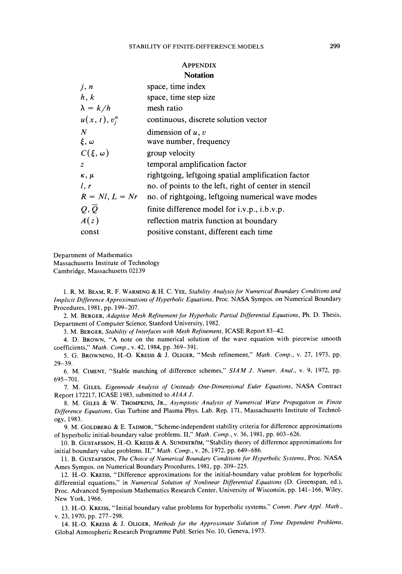#### **APPENDIX Notation**

| j, n                        | space, time index                                     |
|-----------------------------|-------------------------------------------------------|
| h, k                        | space, time step size                                 |
| $\lambda = k/h$             | mesh ratio                                            |
| $u(x, t), v_i^n$            | continuous, discrete solution vector                  |
| $\boldsymbol{N}$            | dimension of $u, v$                                   |
| $\xi, \omega$               | wave number, frequency                                |
| $C(\xi,\omega)$             | group velocity                                        |
| $\mathcal{Z}_{\mathcal{L}}$ | temporal amplification factor                         |
| $\kappa$ , $\mu$            | rightgoing, leftgoing spatial amplification factor    |
| l, r                        | no. of points to the left, right of center in stencil |
| $R = NI, L = Nr$            | no. of rightgoing, leftgoing numerical wave modes     |
| $Q, \overline{Q}$           | finite difference model for $i.v.p., i.b.v.p.$        |
| A(z)                        | reflection matrix function at boundary                |
| const                       | positive constant, different each time                |

Department of Mathematics Massachusetts Institute of Technology Cambridge, Massachusetts 02139

1. R. M. BEAM, R. F. WARMING& H. C. YEE, *Srabzlzry Anabsis for Nunlerrcal Boundary Conditrons and Implicit Difference Approximations of Hyperbolic Equations, Proc. NASA Sympos. on Numerical Boundary* Procedures, 1981, pp. 199-207.

2. M. BERGER, *Adaptive Mesh Refinement for Hyperbolic Partial Differential Equations*, Ph. D. Thesis, Department of Computer Science, Stanford University, 1982.

3. M. BERGER, *Stability of Interfaces with Mesh Refinement*, ICASE Report 83-42.

4. D. BROWN, "A note on the numerical solution of the wave equation with piecewise smooth coefficients," Math. Comp., v. 42, 1984, pp. 369-391.

5. G. BROWNING, H.-0. KREISS & J. OLIGER,"Mesh refinement," *Math. Comp.,* v. 27, 1973, pp. 29-39.

6. M. CIMENT, "Stable matching of difference schemes," SIAM J. Numer. Anal., v. 9, 1972, pp. 695-701.

7. M. GILES, *Eigenmode Analysis of Unsteady One-Dimensional Euler Equations*, NASA Contract Report 172217, ICASE 1983, submitted to *AIAA* J.

8. M. GILES & W. THOMPKINS, JR., Asymptotic Analysis of Numerical Wave Propagation in Finite *D~fference Equar~ons,* Gas Turbine and Plasma Phys. Lab. Rep. 171, Massachusetts Institute of Technology, 1983.

9. M. GOLDBERG & E. TADMOR, "Scheme-independent stability criteria for difference approximations of hyperbolic initial-boundary value problems. II," *Math. Comp.*, v. 36, 1981, pp. 603-626.

10. B. GUSTAFSSON, H.-O. KREISS & A. SUNDSTRÖM, "Stability theory of difference approximations for initial boundary value problems. 11," *Marh. Comp.,* v. 26, 1972, pp. 649-686.

11. B. GUSTAFSSON, *The Choice of Numerical Boundary Conditions for Hyperbolic Systems*, Proc. NASA Ames Sympos. on Numerical Boundary Procedures, 1981, pp. 209-225.

12. H.-0. KREISS, "Difference approximations for the initial-boundary value problem for hyperbolic differential equations," in *Numerical Solution of Nonlinear Differential Equations* (D. Greenspan, ed.), Proc. Advanced Symposium Mathematics Research Center, University of Wisconsin, pp. 141-166, Wiley, New York, 1966.

13. H.-0. KREISS, "Initial boundary value problems for hyperbolic systems." *Comm. Pure Appl. Math..*  v. 23, 1970, pp. 277-298.

14. H.-O. KREISS & J. OLIGER, Methods for the Approximate Solution of Time Dependent Problems, Global Atmospheric Research Programme Publ. Series No. 10, Geneva, 1973.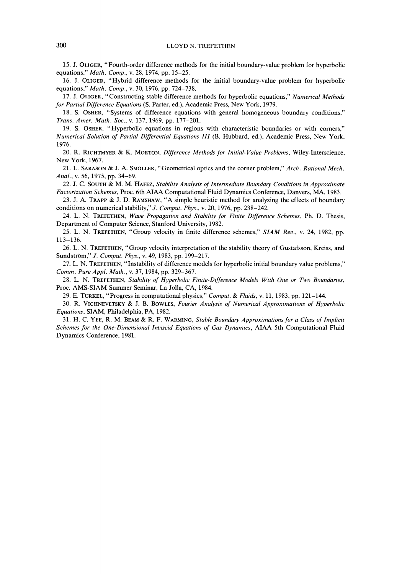15. J. OLIGER, "Fourth-order difference methods for the initial boundary-value problem for hyperbolic equations," *Math. Comp.*, v. 28, 1974, pp. 15-25.

16. J. OLIGER, "Hybrid difference methods for the initial boundary-value problem for hyperbolic equations," *Math. Comp.*, v. 30, 1976, pp. 724-738.

17. J. OLIGER. "Constructing stable difference methods for hyperbolic equations," *Nunlerlcul Methods for Partial Difference Equations* (S. Parter, ed.), Academic Press. New York, 1979.

18.. S. OSHER, "Systems of difference equations with general homogeneous boundary conditions." *Trans. An~er. Math. Soc.,* v. 137, 1969, pp. 177-201.

19. S. OSHER, "Hyperbolic equations in regions with characteristic boundaries or with corners," *Muniericul Solution of Partial Difjerentiul Equations TIT* (B. Hubbard. ed.), Academic Press. New York. 1976.

20. R. RICHTMYER & K. MORTON, Difference Methods for Initial-Value Problems, Wiley-Interscience, New York. 1967.

21. L. SARASON& J. A. SMOLLER, "Geometrical optics and the corner problem," *Arch. Rational hlech. Anal.,* v. 56, 1975, pp. 34-69.

22. J. C. SOUTH & M. M. HAFEZ, *Stability Analysis of Intermediate Boundary Conditions in Approximate Factorrzution Schemes.* Proc. 6th AIAA Computational Fluid Dynamics Conference, Danvers. MA. 1983.

23. J. A. TRAPP & J. D. RAMSHAW, "A simple heuristic method for analyzing the effects of boundary conditions on numerical stability," *J. Comput. Phys.*, v. 20, 1976, pp. 238-242.

24. L. N. TREFETHEN, Wave Propagation and Stability for Finite Difference Schemes, Ph. D. Thesis, Department of Computer Science. Stanford University, 1982.

25. L. N. TREFETHEN, "Group velocity in finite difference schemes," *SIAM Rev.,* v. 24, 1982, pp. 113-136.

26. L. N. TREFETHEN, "Group velocity interpretation of the stability theory of Gustafsson. Kreiss, and Sundström," *J. Comput. Phys.*, v. 49, 1983, pp. 199–217.

27. L. N. TREFETHEN. "Instability of difference models for hyperbolic initial boundary value problems," *Con~ni.Pure Appl. Math..* **v.** 37, 1984, pp. 329-367.

28. L. N. TREFETHEN. *Stability of Hyperbolic Fitute-Difference Models With One or Two Boundurles,*  Proc. AMS-SIAM Summer Seminar. La Jolla, CA, 1984.

29. E. TURKEL."Progress in computational physics," *Conlpur.* & *Fluids,* **v.** 11, 1983, pp. 121-144.

30. R. VICHNEVETSKY & J. B. BOWLES, *Fourier Analysis of Numerical Approximations of Hyperbolic Equations,* SIAM, Philadelpha, PA, 1982.

31. H. C. YEE, R. M. BEAM & R. F. WARMING, *Stable Boundary Approximations for a Class of Implicit Schemes for the One-Dimensional Inciscid Equations of Gas Dynamics,* AIAA 5th Computational Fluid Dynamics Conference, 1981.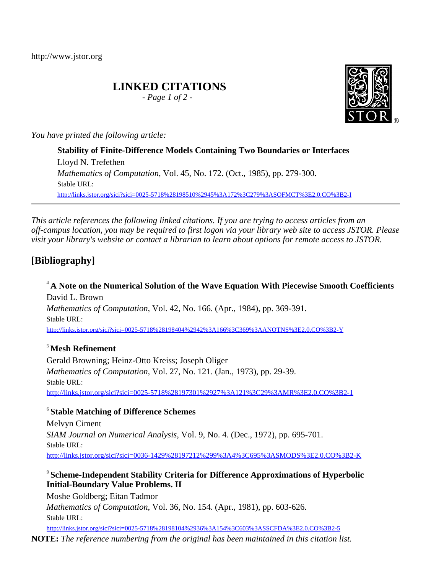http://www.jstor.org

# **LINKED CITATIONS**

*- Page 1 of 2 -*



*You have printed the following article:*

**Stability of Finite-Difference Models Containing Two Boundaries or Interfaces** Lloyd N. Trefethen *Mathematics of Computation*, Vol. 45, No. 172. (Oct., 1985), pp. 279-300. Stable URL: [http://links.jstor.org/sici?sici=0025-5718%28198510%2945%3A172%3C279%3ASOFMCT%3E2.0.CO%3B2-I](http://links.jstor.org/sici?sici=0025-5718%28198510%2945%3A172%3C279%3ASOFMCT%3E2.0.CO%3B2-I&origin=JSTOR-pdf)

*This article references the following linked citations. If you are trying to access articles from an off-campus location, you may be required to first logon via your library web site to access JSTOR. Please visit your library's website or contact a librarian to learn about options for remote access to JSTOR.*

# **[Bibliography]**

**<sup>4</sup> A Note on the Numerical Solution of the Wave Equation With Piecewise Smooth Coefficients** David L. Brown *Mathematics of Computation*, Vol. 42, No. 166. (Apr., 1984), pp. 369-391. Stable URL: [http://links.jstor.org/sici?sici=0025-5718%28198404%2942%3A166%3C369%3AANOTNS%3E2.0.CO%3B2-Y](http://links.jstor.org/sici?sici=0025-5718%28198404%2942%3A166%3C369%3AANOTNS%3E2.0.CO%3B2-Y&origin=JSTOR-pdf)

#### **<sup>5</sup>Mesh Refinement**

Gerald Browning; Heinz-Otto Kreiss; Joseph Oliger *Mathematics of Computation*, Vol. 27, No. 121. (Jan., 1973), pp. 29-39. Stable URL: [http://links.jstor.org/sici?sici=0025-5718%28197301%2927%3A121%3C29%3AMR%3E2.0.CO%3B2-1](http://links.jstor.org/sici?sici=0025-5718%28197301%2927%3A121%3C29%3AMR%3E2.0.CO%3B2-1&origin=JSTOR-pdf)

### **6 Stable Matching of Difference Schemes**

Melvyn Ciment *SIAM Journal on Numerical Analysis*, Vol. 9, No. 4. (Dec., 1972), pp. 695-701. Stable URL: [http://links.jstor.org/sici?sici=0036-1429%28197212%299%3A4%3C695%3ASMODS%3E2.0.CO%3B2-K](http://links.jstor.org/sici?sici=0036-1429%28197212%299%3A4%3C695%3ASMODS%3E2.0.CO%3B2-K&origin=JSTOR-pdf)

#### **9 Scheme-Independent Stability Criteria for Difference Approximations of Hyperbolic Initial-Boundary Value Problems. II**

Moshe Goldberg; Eitan Tadmor *Mathematics of Computation*, Vol. 36, No. 154. (Apr., 1981), pp. 603-626. Stable URL:

[http://links.jstor.org/sici?sici=0025-5718%28198104%2936%3A154%3C603%3ASSCFDA%3E2.0.CO%3B2-5](http://links.jstor.org/sici?sici=0025-5718%28198104%2936%3A154%3C603%3ASSCFDA%3E2.0.CO%3B2-5&origin=JSTOR-pdf) **NOTE:** *The reference numbering from the original has been maintained in this citation list.*